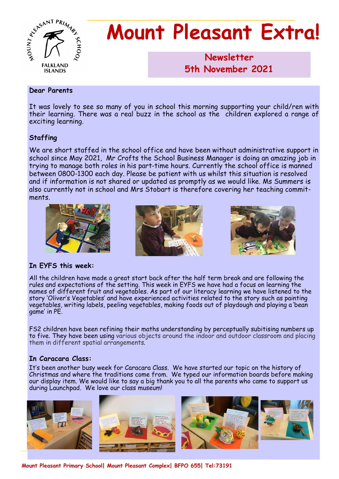

# **Mount Pleasant Extra!**

**Newsletter 1986 5th November 2021**

#### **Dear Parents**

It was lovely to see so many of you in school this morning supporting your child/ren with their learning. There was a real buzz in the school as the children explored a range of exciting learning.

## **Staffing**

We are short staffed in the school office and have been without administrative support in school since May 2021, Mr Crofts the School Business Manager is doing an amazing job in trying to manage both roles in his part-time hours. Currently the school office is manned between 0800-1300 each day. Please be patient with us whilst this situation is resolved and if information is not shared or updated as promptly as we would like. Ms Summers is also currently not in school and Mrs Stobart is therefore covering her teaching commitments.



## **In EYFS this week:**

All the children have made a great start back after the half term break and are following the rules and expectations of the setting. This week in EYFS we have had a focus on learning the names of different fruit and vegetables. As part of our literacy learning we have listened to the story 'Oliver's Vegetables' and have experienced activities related to the story such as painting vegetables, writing labels, peeling vegetables, making foods out of playdough and playing a 'bean game' in PE.

FS2 children have been refining their maths understanding by perceptually subitising numbers up to five. They have been using various objects around the indoor and outdoor classroom and placing them in different spatial arrangements.

## **In Caracara Class:**

It's been another busy week for Caracara Class. We have started our topic on the history of Christmas and where the traditions come from. We typed our information boards before making our display item. We would like to say a big thank you to all the parents who came to support us during Launchpad. We love our class museum!



**Mount Pleasant Primary School| Mount Pleasant Complex| BFPO 655| Tel:73191**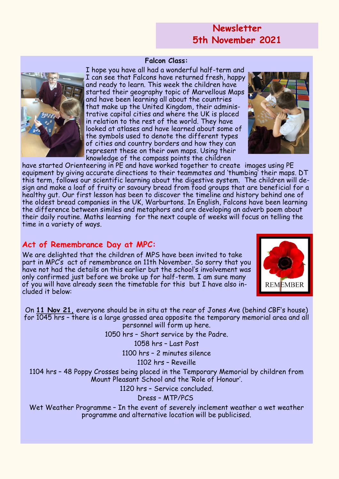## **Newsletter 5th November 2021**

#### **Falcon Class:**

I hope you have all had a wonderful half-term and I can see that Falcons have returned fresh, happy and ready to learn. This week the children have started their geography topic of Marvellous Maps and have been learning all about the countries that make up the United Kingdom, their administrative capital cities and where the UK is placed in relation to the rest of the world. They have looked at atlases and have learned about some of the symbols used to denote the different types of cities and country borders and how they can represent these on their own maps. Using their knowledge of the compass points the children

have started Orienteering in PE and have worked together to create images using PE equipment by giving accurate directions to their teammates and 'thumbing' their maps. DT this term, follows our scientific learning about the digestive system. The children will design and make a loaf of fruity or savoury bread from food groups that are beneficial for a healthy gut. Our first lesson has been to discover the timeline and history behind one of the oldest bread companies in the UK, Warburtons. In English, Falcons have been learning the difference between similes and metaphors and are developing an adverb poem about their daily routine. Maths learning for the next couple of weeks will focus on telling the time in a variety of ways.

## **Act of Remembrance Day at MPC:**

We are delighted that the children of MPS have been invited to take part in MPC's act of remembrance on 11th November. So sorry that you have not had the details on this earlier but the school's involvement was only confirmed just before we broke up for half-term. I am sure many of you will have already seen the timetable for this but I have also included it below:

On **11 Nov 21,** everyone should be in situ at the rear of Jones Ave (behind CBF's house) for 1045 hrs – there is a large grassed area opposite the temporary memorial area and all personnel will form up here.

1050 hrs – Short service by the Padre.

1058 hrs – Last Post

1100 hrs – 2 minutes silence

1102 hrs – Reveille

1104 hrs – 48 Poppy Crosses being placed in the Temporary Memorial by children from Mount Pleasant School and the 'Role of Honour'.

1120 hrs – Service concluded.

Dress – MTP/PCS

Wet Weather Programme – In the event of severely inclement weather a wet weather programme and alternative location will be publicised.





**REMEMBER**